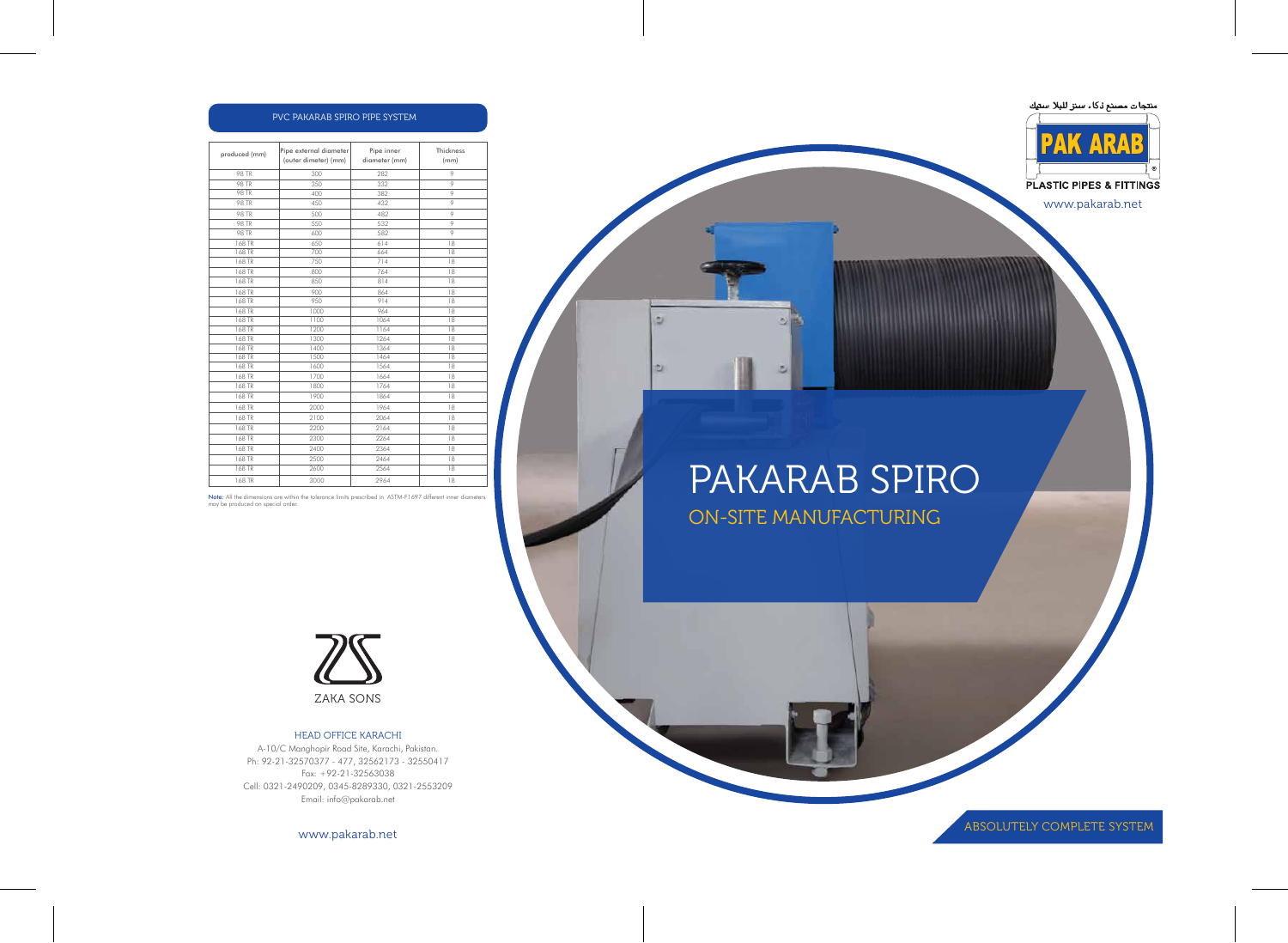# PAKARAB SPIRO ON-SITE MANUFACTURING

つ語



 $\overline{a}$ 





PLASTIC PIPES & FITTINGS

www.pakarab.net

| produced (mm) | Pipe external diameter<br>(outer dimeter) (mm) | Pipe inner<br>diameter (mm) | <b>Thickness</b><br>(mm) |
|---------------|------------------------------------------------|-----------------------------|--------------------------|
| <b>98 TR</b>  | 300                                            | 282                         | 9                        |
| <b>98 TR</b>  | 350                                            | 332                         | 9                        |
| <b>98 TR</b>  | 400                                            | 382                         | 9                        |
| <b>98 TR</b>  | 450                                            | 432                         | 9                        |
| <b>98 TR</b>  | 500                                            | 482                         | 9                        |
| <b>98 TR</b>  | 550                                            | 532                         | 9                        |
| <b>98 TR</b>  | 600                                            | 582                         | 9                        |
| 168 TR        | 650                                            | 614                         | 18                       |
| 168 TR        | 700                                            | 664                         | 18                       |
| 168 TR        | 750                                            | 714                         | 18                       |
| 168 TR        | 800                                            | 764                         | 18                       |
| 168 TR        | 850                                            | 814                         | 18                       |
| 168 TR        | 900                                            | 864                         | 18                       |
| 168 TR        | 950                                            | 914                         | 18                       |
| 168 TR        | 1000                                           | 964                         | 18                       |
| 168 TR        | 1100                                           | 1064                        | 18                       |
| 168 TR        | 1200                                           | 1164                        | 18                       |
| 168 TR        | 1300                                           | 1264                        | 18                       |
| 168 TR        | 1400                                           | 1364                        | 18                       |
| 168 TR        | 1500                                           | 1464                        | 18                       |
| 168 TR        | 1600                                           | 1564                        | 18                       |
| 168 TR        | 1700                                           | 1664                        | 18                       |
| 168 TR        | 1800                                           | 1764                        | 18                       |
| 168 TR        | 1900                                           | 1864                        | 18                       |
| 168 TR        | 2000                                           | 1964                        | 18                       |
| 168 TR        | 2100                                           | 2064                        | 18                       |
| 168 TR        | 2200                                           | 2164                        | 18                       |
| 168 TR        | 2300                                           | 2264                        | 18                       |
| 168 TR        | 2400                                           | 2364                        | 18                       |
| 168 TR        | 2500                                           | 2464                        | 18                       |
| 168 TR        | 2600                                           | 2564                        | 18                       |
| 168 TR        | 3000                                           | 2964                        | 18                       |
|               |                                                |                             |                          |

| ' PVC PAKARAB SPIRO PIPE SYSTEM. |  |  |
|----------------------------------|--|--|
|                                  |  |  |

Note: All the dimensions are within the tolerance limits prescribed in ASTM-F1697 different inner diameters may be produced on special order.

ABSOLUTELY COMPLETE SYSTEM



#### HEAD OFFICE KARACHI

A-10/C Manghopir Road Site, Karachi, Pakistan. Ph: 92-21-32570377 - 477, 32562173 - 32550417 Fax: +92-21-32563038 Cell: 0321-2490209, 0345-8289330, 0321-2553209 Email: info@pakarab.net

www.pakarab.net